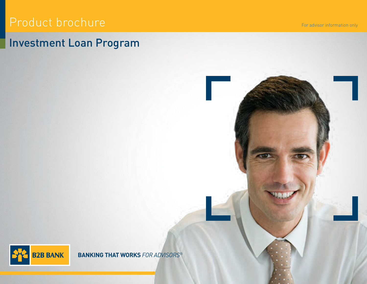# Product brochure

# Investment Loan Program

For advisor information only



**BANKING THAT WORKS** *FOR ADVISORS*®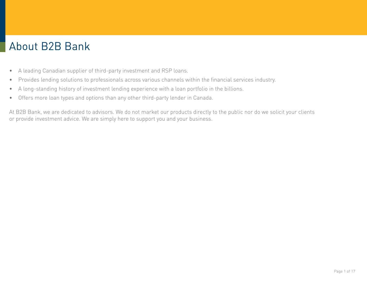# About B2B Bank

- A leading Canadian supplier of third-party investment and RSP loans.
- Provides lending solutions to professionals across various channels within the financial services industry.
- A long-standing history of investment lending experience with a loan portfolio in the billions.
- Offers more loan types and options than any other third-party lender in Canada.

At B2B Bank, we are dedicated to advisors. We do not market our products directly to the public nor do we solicit your clients or provide investment advice. We are simply here to support you and your business.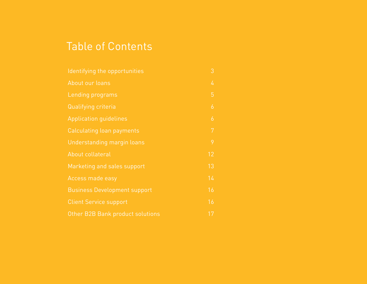# Table of Contents

| Identifying the opportunities       | 3              |
|-------------------------------------|----------------|
| About our loans                     | 4              |
| Lending programs                    | 5              |
| Qualifying criteria                 | $\overline{6}$ |
| <b>Application guidelines</b>       | $\overline{6}$ |
| Calculating loan payments           | 7              |
| Understanding margin loans          | 9              |
| About collateral                    | 12             |
| Marketing and sales support         | 13             |
| Access made easy                    | 14             |
| <b>Business Development support</b> | 16             |
| <b>Client Service support</b>       | 16             |
| Other B2B Bank product solutions    | 17             |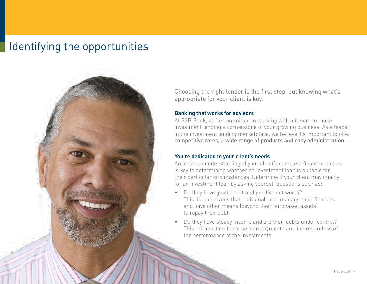# Identifying the opportunities



Choosing the right lender is the first step, but knowing what's appropriate for your client is key.

#### **Banking that works for advisors**

At B2B Bank, we're committed to working with advisors to make investment lending a cornerstone of your growing business. As a leader in the investment lending marketplace, we believe it's important to offer competitive rates, a wide range of products and easy administration.

#### **You're dedicated to your client's needs**

An in-depth understanding of your client's complete financial picture is key to determining whether an investment loan is suitable for their particular circumstances. Determine if your client may qualify for an investment loan by asking yourself questions such as:

- Do they have good credit and positive net worth? This demonstrates that individuals can manage their finances and have other means (beyond their purchased assets) to repay their debt.
- Do they have steady income and are their debts under control? This is important because loan payments are due regardless of the performance of the investments.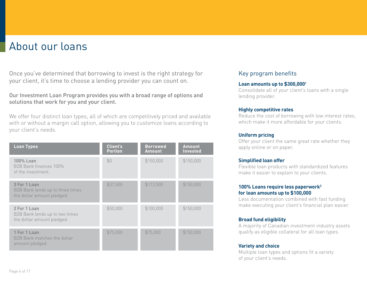# <span id="page-5-0"></span>About our loans

Once you've determined that borrowing to invest is the right strategy for your client, it's time to choose a lending provider you can count on.

Our Investment Loan Program provides you with a broad range of options and solutions that work for you and your client.

We offer four distinct loan types, all of which are competitively priced and available with or without a margin call option, allowing you to customize loans according to your client's needs.

| <b>Loan Types</b>                                                              | <b>Client's</b><br><b>Portion</b> | <b>Borrowed</b><br><b>Amount</b> | <b>Amount</b><br><b>Invested</b> |
|--------------------------------------------------------------------------------|-----------------------------------|----------------------------------|----------------------------------|
| 100% Loan<br>B <sub>2</sub> B Bank finances 100%<br>of the investment.         | \$0                               | \$150,000                        | \$150,000                        |
| 3 For 1 Loan<br>B2B Bank lends up to three times<br>the dollar amount pledged. | \$37,500                          | \$112,500                        | \$150,000                        |
| 2 For 1 Loan<br>B2B Bank lends up to two times<br>the dollar amount pledged.   | \$50,000                          | \$100,000                        | \$150,000                        |
| 1 For 1 Loan<br>B2B Bank matches the dollar<br>amount pledged.                 | \$75,000                          | \$75,000                         | \$150,000                        |

# Key program benefits

#### **Loan amounts up to \$300,0001**

Consolidate all of your client's loans with a single lending provider.

#### **Highly competitive rates**

Reduce the cost of borrowing with low interest rates, which make it more affordable for your clients.

#### **Uniform pricing**

Offer your client the same great rate whether they apply online or on paper.

#### **Simplified loan offer**

Flexible loan products with standardized features make it easier to explain to your clients.

#### **100% Loans require less paperwork2 for loan amounts up to \$100,000**

Less documentation combined with fast funding make executing your client's financial plan easier.

### **Broad fund eligibility**

A majority of Canadian investment industry assets qualify as eligible collateral for all loan types.

#### **Variety and choice**

Multiple loan types and options fit a variety of your client's needs.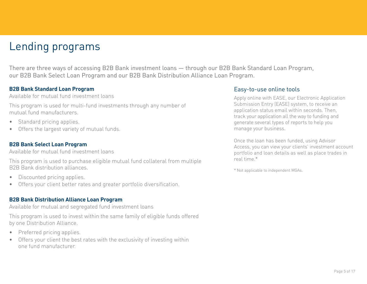# <span id="page-6-0"></span>Lending programs

There are three ways of accessing B2B Bank investment loans — through our B2B Bank Standard Loan Program, our B2B Bank Select Loan Program and our B2B Bank Distribution Alliance Loan Program.

### **B2B Bank Standard Loan Program**

Available for mutual fund investment loans

This program is used for multi-fund investments through any number of mutual fund manufacturers.

- Standard pricing applies.
- Offers the largest variety of mutual funds.

# **B2B Bank Select Loan Program**

Available for mutual fund investment loans

This program is used to purchase eligible mutual fund collateral from multiple B2B Bank distribution alliances.

- Discounted pricing applies.
- Offers your client better rates and greater portfolio diversification.

# **B2B Bank Distribution Alliance Loan Program**

Available for mutual and segregated fund investment loans

This program is used to invest within the same family of eligible funds offered by one Distribution Alliance.

- Preferred pricing applies.
- Offers your client the best rates with the exclusivity of investing within one fund manufacturer.

# Easy-to-use online tools

Apply online with EASE, our Electronic Application Submission Entry (EASE) system, to receive an application status email within seconds. Then, track your application all the way to funding and generate several types of reports to help you manage your business.

Once the loan has been funded, using Advisor Access, you can view your clients' investment account portfolio and loan details as well as place trades in real time.\*

\* Not applicable to independent MGAs.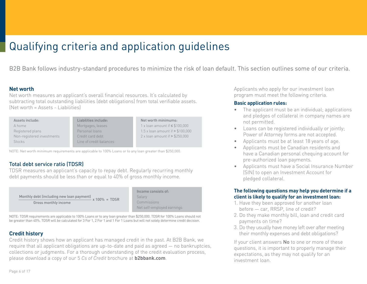# <span id="page-7-0"></span>Qualifying criteria and application guidelines

B2B Bank follows industry-standard procedures to minimize the risk of loan default. This section outlines some of our criteria.

#### **Net worth**

Net worth measures an applicant's overall financial resources. It's calculated by subtracting total outstanding liabilities (debt obligations) from total verifiable assets. (Net worth = Assets - Liabilities)

| Assets include:                                | Liabilities include:    |                                     |
|------------------------------------------------|-------------------------|-------------------------------------|
| A home                                         | Mortgages, leases       | 1 x loan amount if $\leq$ \$100,000 |
| Registered plans                               | Personal loans          | 1.5 x loan amount if $> $100,000$   |
| Non-registered investments<br>Credit card debt |                         | 2 x loan amount if > \$250,000      |
| <b>Stocks</b>                                  | Line of credit balances |                                     |
|                                                |                         |                                     |

NOTE: Net worth minimum requirements are applicable to 100% Loans or to any loan greater than \$250,000.

## Total debt service ratio (TDSR)

TDSR measures an applicant's capacity to repay debt. Regularly recurring monthly debt payments should be less than or equal to 40% of gross monthly income.

| Monthly debt (including new loan payment) | $-x 100\%$ = TDSR |  |
|-------------------------------------------|-------------------|--|
| Gross monthly income                      |                   |  |

Income consists of: Salary Commissions Net self-employed earnings

NOTE: TDSR requirements are applicable to 100% Loans or to any loan greater than \$250,000. TDSR for 100% Loans should not be greater than 40%. TDSR will be calculated for 3 For 1, 2 For 1 and 1 For 1 Loans but will not solely determine credit decision.

## **Credit history**

Credit history shows how an applicant has managed credit in the past. At B2B Bank, we require that all applicant obligations are up-to-date and paid as agreed — no bankruptcies, collections or judgments. For a thorough understanding of the credit evaluation process, please download a copy of our 5 *Cs of Credit* brochure at **[b2bbank.com](https://b2bbank.com/marketing-material/)**.

Applicants who apply for our investment loan program must meet the following criteria.

#### **Basic application rules:**

- The applicant must be an individual; applications and pledges of collateral in company names are not permitted.
- Loans can be registered individually or jointly; Power of Attorney forms are not accepted.
- Applicants must be at least 18 years of age.
- Applicants must be Canadian residents and have a Canadian personal chequing account for pre-authorized loan payments.
- Applicants must have a Social Insurance Number (SIN) to open an Investment Account for pledged collateral.

#### **The following questions may help you determine if a client is likely to qualify for an investment loan:**

- 1. Have they been approved for another loan before — car, RRSP, line of credit?
- 2. Do they make monthly bill, loan and credit card payments on time?
- 3. Do they usually have money left over after meeting their monthly expenses and debt obligations?

If your client answers **No** to one or more of these questions, it is important to properly manage their expectations, as they may not qualify for an investment loan.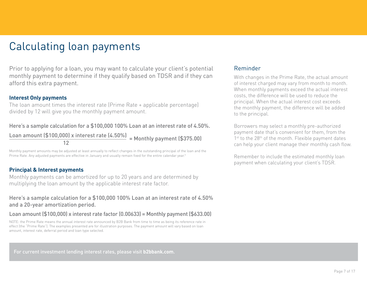# <span id="page-8-0"></span>Calculating loan payments

Prior to applying for a loan, you may want to calculate your client's potential monthly payment to determine if they qualify based on TDSR and if they can afford this extra payment.

#### **Interest Only payments**

The loan amount times the interest rate (Prime Rate + applicable percentage) divided by 12 will give you the monthly payment amount.

### Here's a sample calculation for a \$100,000 100% Loan at an interest rate of 4.50%.

 $\frac{\text{Loan amount ($100,000} \times \text{interest rate ($4.50\%)}{\text{12}} = \text{Monthly payment ($375.00)}$ 

Monthly payment amounts may be adjusted at least annually to reflect changes in the outstanding principal of the loan and the Prime Rate. Any adjusted payments are effective in January and usually remain fixed for the entire calendar year.<sup>3</sup>

#### **Principal & Interest payments**

Monthly payments can be amortized for up to 20 years and are determined by multiplying the loan amount by the applicable interest rate factor.

### Here's a sample calculation for a \$100,000 100% Loan at an interest rate of 4.50% and a 20-year amortization period.

#### Loan amount (\$100,000) x interest rate factor (0.00633) = Monthly payment (\$633.00)

NOTE: the Prime Rate means the annual interest rate announced by B2B Bank from time to time as being its reference rate in effect (the "Prime Rate"). The examples presented are for illustration purposes. The payment amount will vary based on loan amount, interest rate, deferral period and loan type selected.

#### For current investment lending interest rates, please visit **[b2bbank.com](https://b2bbank.com/rates/loan-rates)**.

#### Reminder

With changes in the Prime Rate, the actual amount of interest charged may vary from month to month. When monthly payments exceed the actual interest costs, the difference will be used to reduce the principal. When the actual interest cost exceeds the monthly payment, the difference will be added to the principal.

Borrowers may select a monthly pre-authorized payment date that's convenient for them, from the 1<sup>st</sup> to the 28<sup>th</sup> of the month. Flexible payment dates can help your client manage their monthly cash flow.

Remember to include the estimated monthly loan payment when calculating your client's TDSR.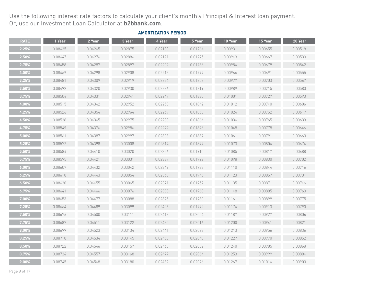Use the following interest rate factors to calculate your client's monthly Principal & Interest loan payment. Or, use our Investment Loan Calculator at **[b2bbank.com](https://b2bbank.com/en/calculators/investment-loan-calculator)**.

| <b>RATE</b> | 1 Year  | 2 Year  | 3 Year  | 4 Year  | 5 Year  | 10 Year | 15 Year | 20 Year |
|-------------|---------|---------|---------|---------|---------|---------|---------|---------|
| 2.25%       | 0.08435 | 0.04265 | 0.02875 | 0.02180 | 0.01764 | 0.00931 | 0.00655 | 0.00518 |
| $2.50\%$    | 0.08447 | 0.04276 | 0.02886 | 0.02191 | 0.01775 | 0.00943 | 0.00667 | 0.00530 |
| 2.75%       | 0.08458 | 0.04287 | 0.02897 | 0.02202 | 0.01786 | 0.00954 | 0.00679 | 0.00542 |
| $3.00\%$    | 0.08469 | 0.04298 | 0.02908 | 0.02213 | 0.01797 | 0.00966 | 0.00691 | 0.00555 |
| 3.25%       | 0.08481 | 0.04309 | 0.02919 | 0.02224 | 0.01808 | 0.00977 | 0.00703 | 0.00567 |
| 3.50%       | 0.08492 | 0.04320 | 0.02930 | 0.02236 | 0.01819 | 0.00989 | 0.00715 | 0.00580 |
| 3.75%       | 0.08504 | 0.04331 | 0.02941 | 0.02247 | 0.01830 | 0.01001 | 0.00727 | 0.00593 |
| 4.00%       | 0.08515 | 0.04342 | 0.02952 | 0.02258 | 0.01842 | 0.01012 | 0.00740 | 0.00606 |
| 4.25%       | 0.08526 | 0.04354 | 0.02964 | 0.02269 | 0.01853 | 0.01024 | 0.00752 | 0.00619 |
| 4.50%       | 0.08538 | 0.04365 | 0.02975 | 0.02280 | 0.01864 | 0.01036 | 0.00765 | 0.00633 |
| 4.75%       | 0.08549 | 0.04376 | 0.02986 | 0.02292 | 0.01876 | 0.01048 | 0.00778 | 0.00646 |
| $5.00\%$    | 0.08561 | 0.04387 | 0.02997 | 0.02303 | 0.01887 | 0.01061 | 0.00791 | 0.00660 |
| 5.25%       | 0.08572 | 0.04398 | 0.03008 | 0.02314 | 0.01899 | 0.01073 | 0.00804 | 0.00674 |
| 5.50%       | 0.08584 | 0.04410 | 0.03020 | 0.02326 | 0.01910 | 0.01085 | 0.00817 | 0.00688 |
| 5.75%       | 0.08595 | 0.04421 | 0.03031 | 0.02337 | 0.01922 | 0.01098 | 0.00830 | 0.00702 |
| $6.00\%$    | 0.08607 | 0.04432 | 0.03042 | 0.02349 | 0.01933 | 0.01110 | 0.00844 | 0.00716 |
| 6.25%       | 0.08618 | 0.04443 | 0.03054 | 0.02360 | 0.01945 | 0.01123 | 0.00857 | 0.00731 |
| 6.50%       | 0.08630 | 0.04455 | 0.03065 | 0.02371 | 0.01957 | 0.01135 | 0.00871 | 0.00746 |
| 6.75%       | 0.08641 | 0.04466 | 0.03076 | 0.02383 | 0.01968 | 0.01148 | 0.00885 | 0.00760 |
| $7.00\%$    | 0.08653 | 0.04477 | 0.03088 | 0.02395 | 0.01980 | 0.01161 | 0.00899 | 0.00775 |
| 7.25%       | 0.08664 | 0.04489 | 0.03099 | 0.02406 | 0.01992 | 0.01174 | 0.00913 | 0.00790 |
| 7.50%       | 0.08676 | 0.04500 | 0.03111 | 0.02418 | 0.02004 | 0.01187 | 0.00927 | 0.00806 |
| 7.75%       | 0.08687 | 0.04511 | 0.03122 | 0.02430 | 0.02016 | 0.01200 | 0.00941 | 0.00821 |
| $8.00\%$    | 0.08699 | 0.04523 | 0.03134 | 0.02441 | 0.02028 | 0.01213 | 0.00956 | 0.00836 |
| 8.25%       | 0.08710 | 0.04534 | 0.03145 | 0.02453 | 0.02040 | 0.01227 | 0.00970 | 0.00852 |
| 8.50%       | 0.08722 | 0.04546 | 0.03157 | 0.02465 | 0.02052 | 0.01240 | 0.00985 | 0.00868 |
| 8.75%       | 0.08734 | 0.04557 | 0.03168 | 0.02477 | 0.02064 | 0.01253 | 0.00999 | 0.00884 |
| 9.00%       | 0.08745 | 0.04568 | 0.03180 | 0.02489 | 0.02076 | 0.01267 | 0.01014 | 0.00900 |

#### **AMORTIZATION PERIOD**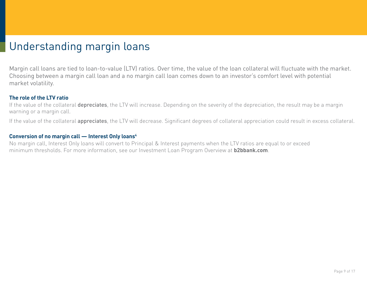# <span id="page-10-0"></span>Understanding margin loans

Margin call loans are tied to loan-to-value (LTV) ratios. Over time, the value of the loan collateral will fluctuate with the market. Choosing between a margin call loan and a no margin call loan comes down to an investor's comfort level with potential market volatility.

## **The role of the LTV ratio**

If the value of the collateral depreciates, the LTV will increase. Depending on the severity of the depreciation, the result may be a margin warning or a margin call.

If the value of the collateral **appreciates**, the LTV will decrease. Significant degrees of collateral appreciation could result in excess collateral.

## **Conversion of no margin call — Interest Only loans4**

No margin call, Interest Only loans will convert to Principal & Interest payments when the LTV ratios are equal to or exceed minimum thresholds. For more information, see our Investment Loan Program Overview at **[b2bbank.com](https://b2bbank.com/marketing-material/)**.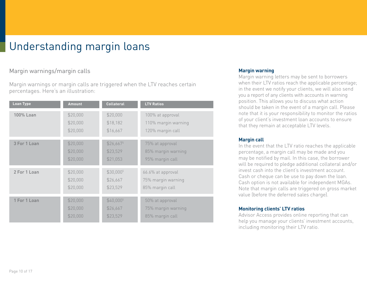# Understanding margin loans

# Margin warnings/margin calls

Margin warnings or margin calls are triggered when the LTV reaches certain percentages. Here's an illustration:

| <b>Loan Type</b> | <b>Amount</b> | <b>Collateral</b>      | <b>LTV Ratios</b>   |
|------------------|---------------|------------------------|---------------------|
| 100% Loan        | \$20,000      | \$20,000               | 100% at approval    |
|                  | \$20,000      | \$18,182               | 110% margin warning |
|                  | \$20,000      | \$16,667               | 120% margin call    |
| 3 For 1 Loan     | \$20,000      | $$26,667$ <sup>5</sup> | 75% at approval     |
|                  | \$20,000      | \$23,529               | 85% margin warning  |
|                  | \$20,000      | \$21,053               | 95% margin call     |
| 2 For 1 Loan     | \$20,000      | \$30,0005              | 66.6% at approval   |
|                  | \$20,000      | \$26,667               | 75% margin warning  |
|                  | \$20,000      | \$23,529               | 85% margin call     |
| 1 For 1 Loan     | \$20,000      | \$40,000 <sup>5</sup>  | 50% at approval     |
|                  | \$20,000      | \$26,667               | 75% margin warning  |
|                  | \$20,000      | \$23,529               | 85% margin call     |

#### **Margin warning**

Margin warning letters may be sent to borrowers when their LTV ratios reach the applicable percentage; in the event we notify your clients, we will also send you a report of any clients with accounts in warning position. This allows you to discuss what action should be taken in the event of a margin call. Please note that it is your responsibility to monitor the ratios of your client's investment loan accounts to ensure that they remain at acceptable LTV levels.

#### **Margin call**

In the event that the LTV ratio reaches the applicable percentage, a margin call may be made and you may be notified by mail. In this case, the borrower will be required to pledge additional collateral and/or invest cash into the client's investment account. Cash or cheque can be use to pay down the loan. Cash option is not available for independent MGAs. Note that margin calls are triggered on gross market value (before the deferred sales charge).

### **Monitoring clients' LTV ratios**

Advisor Access provides online reporting that can help you manage your clients' investment accounts, including monitoring their LTV ratio.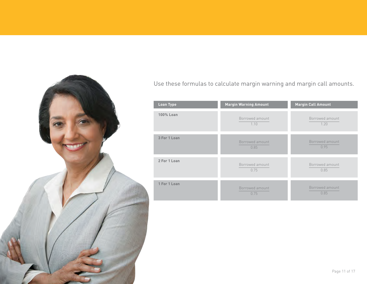

# Use these formulas to calculate margin warning and margin call amounts.

| Loan Type        | <b>Margin Warning Amount</b> | <b>Margin Call Amount</b> |
|------------------|------------------------------|---------------------------|
| <b>100% Loan</b> | Borrowed amount<br>1.10      | Borrowed amount<br>1.20   |
| 3 For 1 Loan     | Borrowed amount<br>0.85      | Borrowed amount<br>0.95   |
| 2 For 1 Loan     | Borrowed amount<br>0.75      | Borrowed amount<br>0.85   |
| 1 For 1 Loan     | Borrowed amount<br>0.75      | Borrowed amount<br>0.85   |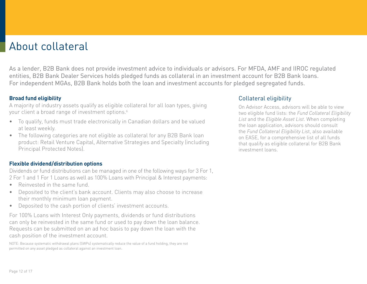# <span id="page-13-0"></span>About collateral

As a lender, B2B Bank does not provide investment advice to individuals or advisors. For MFDA, AMF and IIROC regulated entities, B2B Bank Dealer Services holds pledged funds as collateral in an investment account for B2B Bank loans. For independent MGAs, B2B Bank holds both the loan and investment accounts for pledged segregated funds.

# **Broad fund eligibility**

A majority of industry assets qualify as eligible collateral for all loan types, giving your client a broad range of investment options.<sup>6</sup>

- To qualify, funds must trade electronically in Canadian dollars and be valued at least weekly.
- The following categories are not eligible as collateral for any B2B Bank loan product: Retail Venture Capital, Alternative Strategies and Specialty (including Principal Protected Notes).

# **Flexible dividend/distribution options**

Dividends or fund distributions can be managed in one of the following ways for 3 For 1, 2 For 1 and 1 For 1 Loans as well as 100% Loans with Principal & Interest payments:

- Reinvested in the same fund
- Deposited to the client's bank account. Clients may also choose to increase their monthly minimum loan payment.
- Deposited to the cash portion of clients' investment accounts.

For 100% Loans with Interest Only payments, dividends or fund distributions can only be reinvested in the same fund or used to pay down the loan balance. Requests can be submitted on an ad hoc basis to pay down the loan with the cash position of the investment account.

NOTE: Because systematic withdrawal plans (SWPs) systematically reduce the value of a fund holding, they are not permitted on any asset pledged as collateral against an investment loan.

# Collateral eligibility

On Advisor Access, advisors will be able to view two eligible fund lists: the *Fund Collateral Eligibility List* and the *Eligible Asset List*. When completing the loan application, advisors should consult the *Fund Collateral Eligibility Lis*t, also available on EASE, for a comprehensive list of all funds that qualify as eligible collateral for B2B Bank investment loans.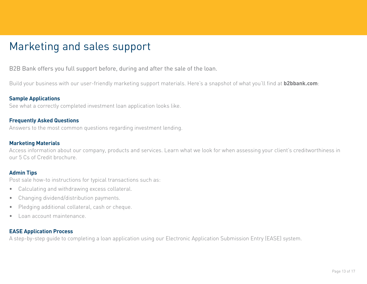# <span id="page-14-0"></span>Marketing and sales support

# B2B Bank offers you full support before, during and after the sale of the loan.

Build your business with our user-friendly marketing support materials. Here's a snapshot of what you'll find at **[b2bbank.com](https://b2bbank.com/marketing-material/index)**:

### **Sample Applications**

See what a correctly completed investment loan application looks like.

### **Frequently Asked Questions**

Answers to the most common questions regarding investment lending.

### **Marketing Materials**

Access information about our company, products and services. Learn what we look for when assessing your client's creditworthiness in our 5 Cs of Credit brochure.

### **Admin Tips**

Post sale how-to instructions for typical transactions such as:

- Calculating and withdrawing excess collateral.
- Changing dividend/distribution payments.
- Pledging additional collateral, cash or cheque.
- Loan account maintenance.

## **EASE Application Process**

A step-by-step guide to completing a loan application using our Electronic Application Submission Entry (EASE) system.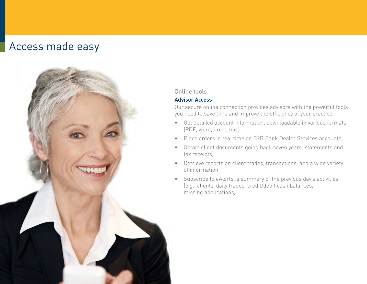# <span id="page-15-0"></span>Access made easy



## Online tools

### **Advisor Access**

Our secure online connection provides advisors with the powerful tools you need to save time and improve the efficiency of your practice.

- Get detailed account information, downloadable in various formats (PDF, word, excel, text)
- Place orders in real time on B2B Bank Dealer Services accounts
- Obtain client documents going back seven years (statements and tax receipts)
- Retrieve reports on client trades, transactions, and a wide variety of information
- Subscribe to eAlerts, a summary of the previous day's activities (e.g., clients' daily trades, credit/debit cash balances, missing applications)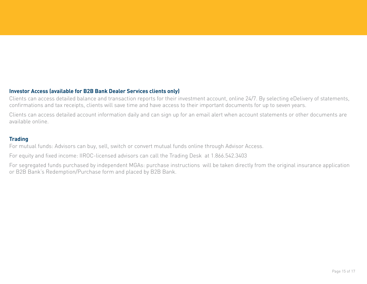## **Investor Access (available for B2B Bank Dealer Services clients only)**

Clients can access detailed balance and transaction reports for their investment account, online 24/7. By selecting eDelivery of statements, confirmations and tax receipts, clients will save time and have access to their important documents for up to seven years.

Clients can access detailed account information daily and can sign up for an email alert when account statements or other documents are available online.

### **Trading**

For mutual funds: Advisors can buy, sell, switch or convert mutual funds online through Advisor Access.

For equity and fixed income: IIROC-licensed advisors can call the Trading Desk at 1.866.542.3403

For segregated funds purchased by independent MGAs: purchase instructions will be taken directly from the original insurance application or B2B Bank's Redemption/Purchase form and placed by B2B Bank.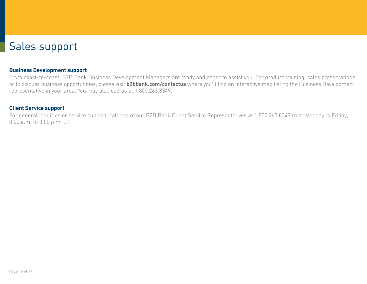# <span id="page-17-0"></span>Sales support

#### **Business Development support**

From coast-to-coast, B2B Bank Business Development Managers are ready and eager to assist you. For product training, sales presentations or to discuss business opportunities, please visit **[b2bbank.com/contactus](http://b2bbank.com/contactus)** where you'll find an interactive map listing the Business Development representative in your area. You may also call us at 1.800.263.8349.

#### **Client Service support**

For general inquiries or service support, call one of our B2B Bank Client Service Representatives at 1.800.263.8349 from Monday to Friday, 8:00 a.m. to 8:00 p.m. ET.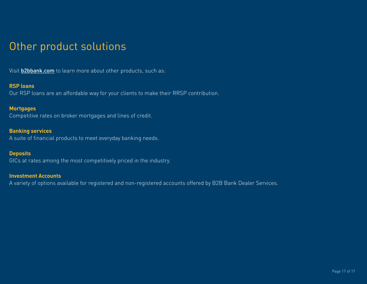# <span id="page-18-0"></span>Other product solutions

Visit **[b2bbank.com](http://b2bbank.com)** to learn more about other products, such as:

### **RSP loans**

Our RSP loans are an affordable way for your clients to make their RRSP contribution.

## **Mortgages**

Competitive rates on broker mortgages and lines of credit.

# **Banking services**

A suite of financial products to meet everyday banking needs.

# **Deposits**

GICs at rates among the most competitively priced in the industry.

### **Investment Accounts**

A variety of options available for registered and non-registered accounts offered by B2B Bank Dealer Services.